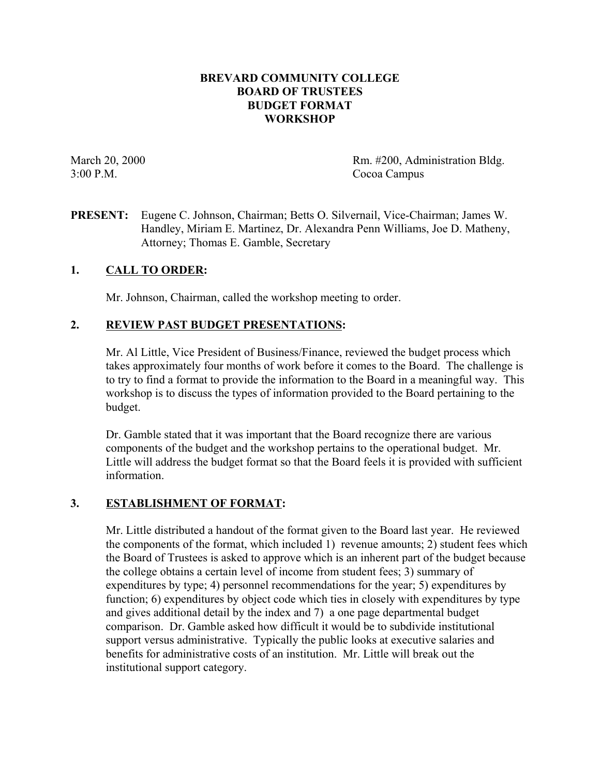#### **BREVARD COMMUNITY COLLEGE BOARD OF TRUSTEES BUDGET FORMAT WORKSHOP**

March 20, 2000 Rm. #200, Administration Bldg. 3:00 P.M. Cocoa Campus

**PRESENT:** Eugene C. Johnson, Chairman; Betts O. Silvernail, Vice-Chairman; James W. Handley, Miriam E. Martinez, Dr. Alexandra Penn Williams, Joe D. Matheny, Attorney; Thomas E. Gamble, Secretary

## **1. CALL TO ORDER:**

Mr. Johnson, Chairman, called the workshop meeting to order.

## **2. REVIEW PAST BUDGET PRESENTATIONS:**

Mr. Al Little, Vice President of Business/Finance, reviewed the budget process which takes approximately four months of work before it comes to the Board. The challenge is to try to find a format to provide the information to the Board in a meaningful way. This workshop is to discuss the types of information provided to the Board pertaining to the budget.

Dr. Gamble stated that it was important that the Board recognize there are various components of the budget and the workshop pertains to the operational budget. Mr. Little will address the budget format so that the Board feels it is provided with sufficient information.

## **3. ESTABLISHMENT OF FORMAT:**

Mr. Little distributed a handout of the format given to the Board last year. He reviewed the components of the format, which included 1) revenue amounts; 2) student fees which the Board of Trustees is asked to approve which is an inherent part of the budget because the college obtains a certain level of income from student fees; 3) summary of expenditures by type; 4) personnel recommendations for the year; 5) expenditures by function; 6) expenditures by object code which ties in closely with expenditures by type and gives additional detail by the index and 7) a one page departmental budget comparison. Dr. Gamble asked how difficult it would be to subdivide institutional support versus administrative. Typically the public looks at executive salaries and benefits for administrative costs of an institution. Mr. Little will break out the institutional support category.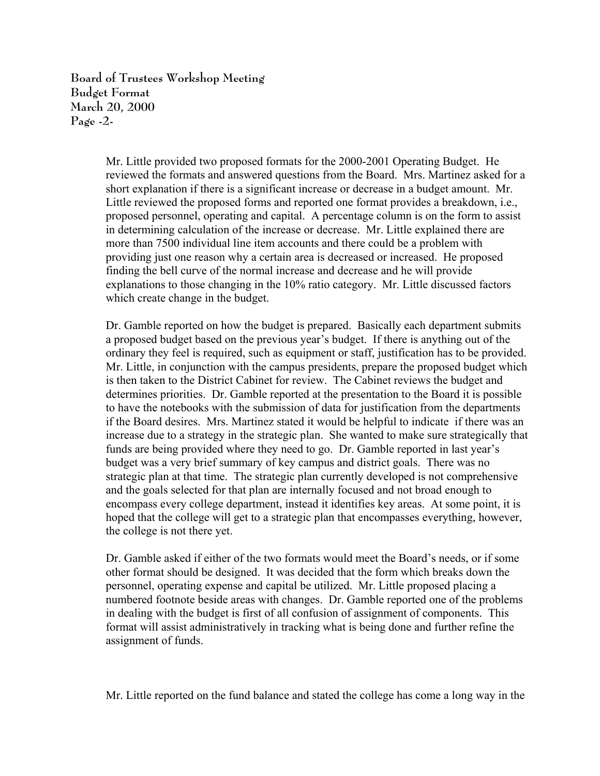**Board of Trustees Workshop Meeting Budget Format March 20, 2000 Page -2-**

> Mr. Little provided two proposed formats for the 2000-2001 Operating Budget. He reviewed the formats and answered questions from the Board. Mrs. Martinez asked for a short explanation if there is a significant increase or decrease in a budget amount. Mr. Little reviewed the proposed forms and reported one format provides a breakdown, i.e., proposed personnel, operating and capital. A percentage column is on the form to assist in determining calculation of the increase or decrease. Mr. Little explained there are more than 7500 individual line item accounts and there could be a problem with providing just one reason why a certain area is decreased or increased. He proposed finding the bell curve of the normal increase and decrease and he will provide explanations to those changing in the 10% ratio category. Mr. Little discussed factors which create change in the budget.

> Dr. Gamble reported on how the budget is prepared. Basically each department submits a proposed budget based on the previous year's budget. If there is anything out of the ordinary they feel is required, such as equipment or staff, justification has to be provided. Mr. Little, in conjunction with the campus presidents, prepare the proposed budget which is then taken to the District Cabinet for review. The Cabinet reviews the budget and determines priorities. Dr. Gamble reported at the presentation to the Board it is possible to have the notebooks with the submission of data for justification from the departments if the Board desires. Mrs. Martinez stated it would be helpful to indicate if there was an increase due to a strategy in the strategic plan. She wanted to make sure strategically that funds are being provided where they need to go. Dr. Gamble reported in last year's budget was a very brief summary of key campus and district goals. There was no strategic plan at that time. The strategic plan currently developed is not comprehensive and the goals selected for that plan are internally focused and not broad enough to encompass every college department, instead it identifies key areas. At some point, it is hoped that the college will get to a strategic plan that encompasses everything, however, the college is not there yet.

Dr. Gamble asked if either of the two formats would meet the Board's needs, or if some other format should be designed. It was decided that the form which breaks down the personnel, operating expense and capital be utilized. Mr. Little proposed placing a numbered footnote beside areas with changes. Dr. Gamble reported one of the problems in dealing with the budget is first of all confusion of assignment of components. This format will assist administratively in tracking what is being done and further refine the assignment of funds.

Mr. Little reported on the fund balance and stated the college has come a long way in the